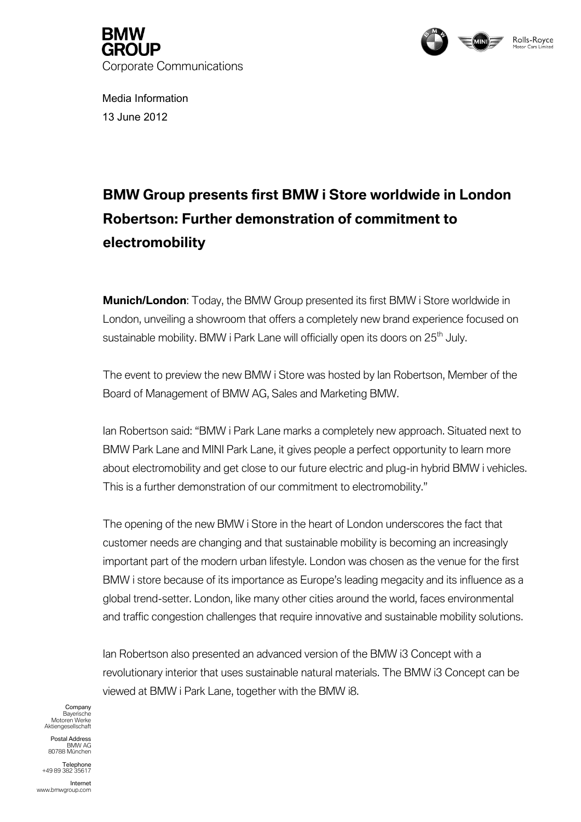



Media Information 13 June 2012

## **BMW Group presents first BMW i Store worldwide in London Robertson: Further demonstration of commitment to electromobility**

**Munich/London**: Today, the BMW Group presented its first BMW i Store worldwide in London, unveiling a showroom that offers a completely new brand experience focused on sustainable mobility. BMW i Park Lane will officially open its doors on 25<sup>th</sup> July.

The event to preview the new BMW i Store was hosted by Ian Robertson, Member of the Board of Management of BMW AG, Sales and Marketing BMW.

Ian Robertson said: "BMW i Park Lane marks a completely new approach. Situated next to BMW Park Lane and MINI Park Lane, it gives people a perfect opportunity to learn more about electromobility and get close to our future electric and plug-in hybrid BMW i vehicles. This is a further demonstration of our commitment to electromobility."

The opening of the new BMW i Store in the heart of London underscores the fact that customer needs are changing and that sustainable mobility is becoming an increasingly important part of the modern urban lifestyle. London was chosen as the venue for the first BMW i store because of its importance as Europe's leading megacity and its influence as a global trend-setter. London, like many other cities around the world, faces environmental and traffic congestion challenges that require innovative and sustainable mobility solutions.

Ian Robertson also presented an advanced version of the BMW i3 Concept with a revolutionary interior that uses sustainable natural materials. The BMW i3 Concept can be viewed at BMW i Park Lane, together with the BMW i8.

**Company** Bayerische Motoren Werke Aktiengesellschaft

Postal Address BMW AG 80788 München

Telephone +49 89 382 35617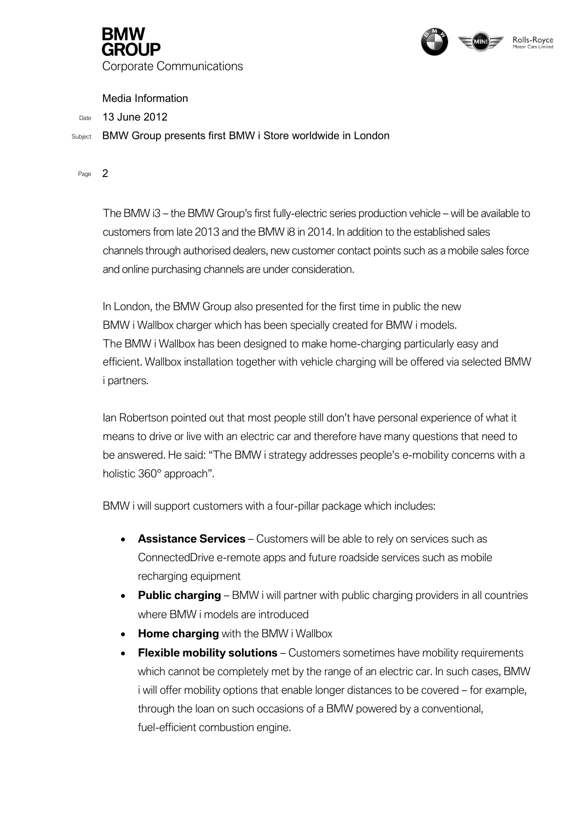



Media Information

Date 13 June 2012

Subject BMW Group presents first BMW i Store worldwide in London

Page 2

The BMW i3 – the BMW Group's first fully-electric series production vehicle – will be available to customers from late 2013 and the BMW i8 in 2014. In addition to the established sales channels through authorised dealers, new customer contact points such as a mobile sales force and online purchasing channels are under consideration.

In London, the BMW Group also presented for the first time in public the new BMW i Wallbox charger which has been specially created for BMW i models. The BMW i Wallbox has been designed to make home-charging particularly easy and efficient. Wallbox installation together with vehicle charging will be offered via selected BMW i partners.

Ian Robertson pointed out that most people still don't have personal experience of what it means to drive or live with an electric car and therefore have many questions that need to be answered. He said: "The BMW i strategy addresses people's e-mobility concerns with a holistic 360° approach".

BMW i will support customers with a four-pillar package which includes:

- **Assistance Services** Customers will be able to rely on services such as ConnectedDrive e-remote apps and future roadside services such as mobile recharging equipment
- **Public charging** BMW i will partner with public charging providers in all countries where BMW i models are introduced
- **Home charging** with the BMW i Wallbox
- **Flexible mobility solutions** Customers sometimes have mobility requirements which cannot be completely met by the range of an electric car. In such cases, BMW i will offer mobility options that enable longer distances to be covered – for example, through the loan on such occasions of a BMW powered by a conventional, fuel-efficient combustion engine.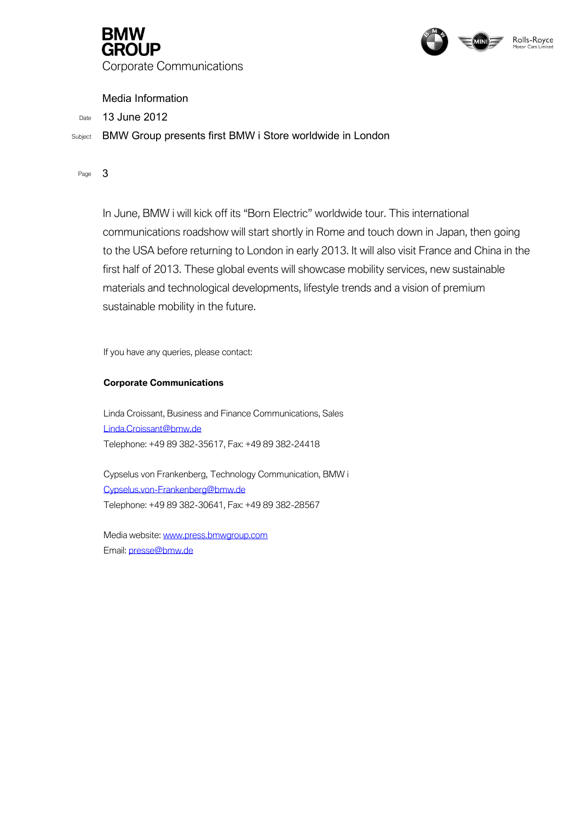



Media Information

Date 13 June 2012

Subject BMW Group presents first BMW i Store worldwide in London

Page 3

In June, BMW i will kick off its "Born Electric" worldwide tour. This international communications roadshow will start shortly in Rome and touch down in Japan, then going to the USA before returning to London in early 2013. It will also visit France and China in the first half of 2013. These global events will showcase mobility services, new sustainable materials and technological developments, lifestyle trends and a vision of premium sustainable mobility in the future.

If you have any queries, please contact:

## **Corporate Communications**

Linda Croissant, Business and Finance Communications, Sales [Linda.Croissant@bmw.de](mailto:Linda.Croissant@bmw.de) Telephone: +49 89 382-35617, Fax: +49 89 382-24418

Cypselus von Frankenberg, Technology Communication, BMW i [Cypselus.von-Frankenberg@bmw.de](mailto:Cypselus.von-Frankenberg@bmw.de) Telephone: +49 89 382-30641, Fax: +49 89 382-28567

Media website[: www.press.bmwgroup.com](http://www.press.bmwgroup.com/) Email: [presse@bmw.de](mailto:presse@bmw.de)